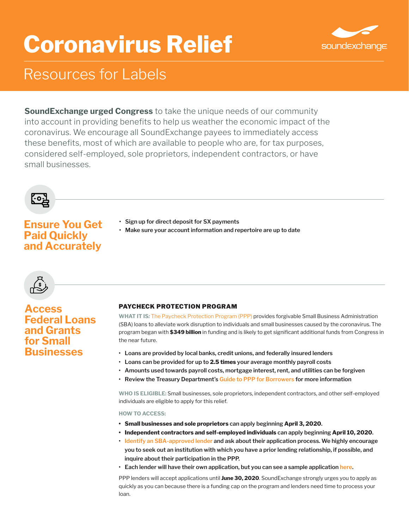# **Coronavirus Relief**



# Resources for Labels

**SoundExchange urged Congress** to take the unique needs of our community into account in providing benefits to help us weather the economic impact of the coronavirus. We encourage all SoundExchange payees to immediately access these benefits, most of which are available to people who are, for tax purposes, considered self-employed, sole proprietors, independent contractors, or have small businesses.



## **Ensure You Get Paid Quickly and Accurately**

- **• Sign up for direct deposit for SX payments**
- **• Make sure your account information and repertoire are up to date**



## **Access Federal Loans and Grants for Small Businesses**

## PAYCHECK PROTECTION PROGRAM

**WHAT IT IS***:* [The Paycheck Protection Program \(PPP\)](https://www.sba.gov/funding-programs/loans/coronavirus-relief-options/paycheck-protection-program-ppp#section-header-4) provides forgivable Small Business Administration (SBA) loans to alleviate work disruption to individuals and small businesses caused by the coronavirus. The program began with **\$349 billion** in funding and is likely to get significant additional funds from Congress in the near future.

- **• Loans are provided by local banks, credit unions, and federally insured lenders**
- **• Loans can be provided for up to 2.5 times your average monthly payroll costs**
- **• Amounts used towards payroll costs, mortgage interest, rent, and utilities can be forgiven**
- **• Review the Treasury Department's [Guide to PPP for Borrowers](https://home.treasury.gov/system/files/136/PPP--Fact-Sheet.pdf) for more information**

**WHO IS ELIGIBLE:** Small businesses, sole proprietors, independent contractors, and other self-employed individuals are eligible to apply for this relief.

**HOW TO ACCESS:**

- **• Small businesses and sole proprietors can apply beginning April 3, 2020.**
- **• Independent contractors and self-employed individuals can apply beginning April 10, 2020.**
- **• [Identify an SBA-approved lender a](https://www.sba.gov/paycheckprotection/find)nd ask about their application process. We highly encourage you to seek out an institution with which you have a prior lending relationship, if possible, and inquire about their participation in the PPP.**
- **• Each lender will have their own application, but you can see a sample application [here.](https://home.treasury.gov/system/files/136/Paycheck-Protection-Program-Application-3-30-2020-v3.pdf)**

PPP lenders will accept applications until **June 30, 2020**. SoundExchange strongly urges you to apply as quickly as you can because there is a funding cap on the program and lenders need time to process your loan.